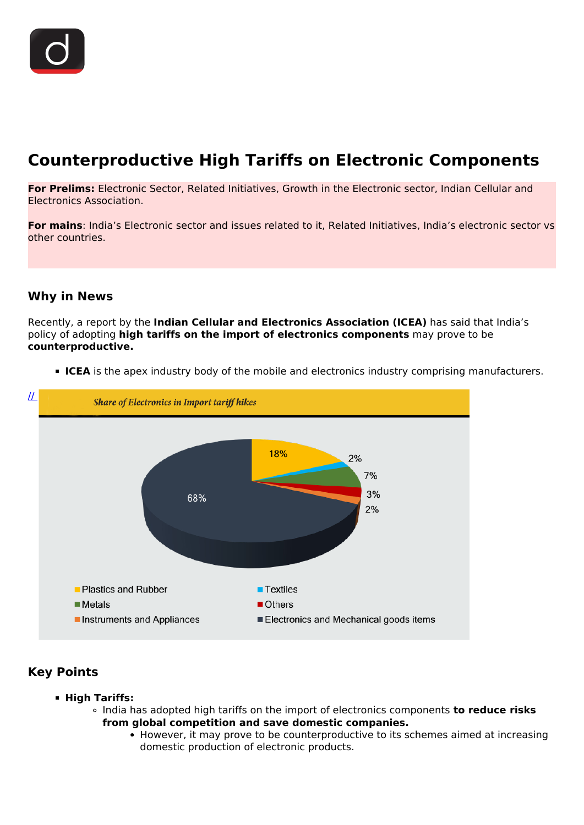## **Counterproductive High Tariffs on Electronic Components**

**For Prelims:** Electronic Sector, Related Initiatives, Growth in the Electronic sector, Indian Cellular and Electronics Association.

**For mains**: India's Electronic sector and issues related to it, Related Initiatives, India's electronic sector vs other countries.

## **Why in News**

Recently, a report by the **Indian Cellular and Electronics Association (ICEA)** has said that India's policy of adopting **high tariffs on the import of electronics components** may prove to be **counterproductive.**



**ICEA** is the apex industry body of the mobile and electronics industry comprising manufacturers.

## **Key Points**

- **High Tariffs:**
	- India has adopted high tariffs on the import of electronics components **to reduce risks from global competition and save domestic companies.**
		- However, it may prove to be counterproductive to its schemes aimed at increasing domestic production of electronic products.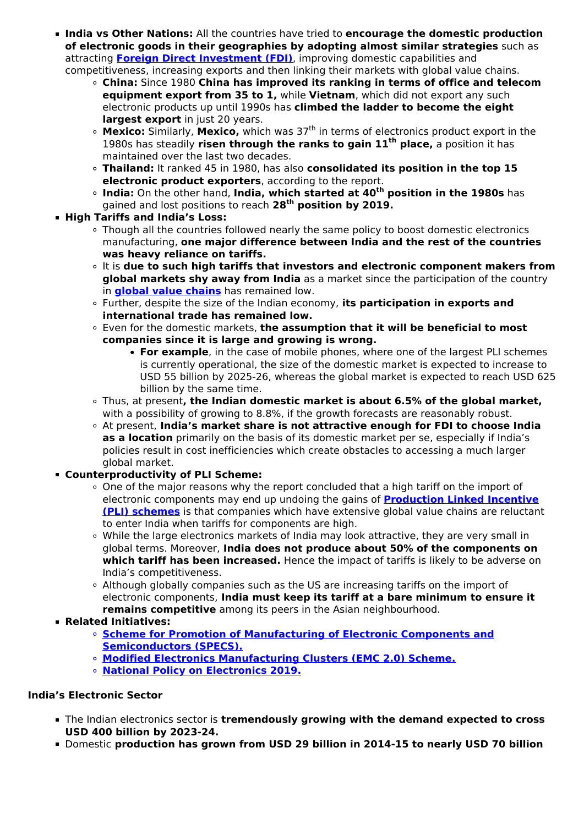**India vs Other Nations:** All the countries have tried to **encourage the domestic production of electronic goods in their geographies by adopting almost similar strategies** such as attracting **[Foreign Direct Investment \(FDI\)](/current-affairs-news-analysis-editorials/news-analysis/23-09-2021#:~:text=Foreign%20Direct%20Investment&text=FDI%20is%20the%20process%20whereby,country%20(the%20host%20country).)**, improving domestic capabilities and

competitiveness, increasing exports and then linking their markets with global value chains.

- **China:** Since 1980 **China has improved its ranking in terms of office and telecom equipment export from 35 to 1,** while **Vietnam**, which did not export any such electronic products up until 1990s has **climbed the ladder to become the eight largest export** in just 20 years.
- **Mexico:** Similarly, Mexico, which was 37<sup>th</sup> in terms of electronics product export in the 1980s has steadily **risen through the ranks to gain 11th place,** a position it has maintained over the last two decades.
- **Thailand:** It ranked 45 in 1980, has also **consolidated its position in the top 15 electronic product exporters**, according to the report.
- **India:** On the other hand, **India, which started at 40th position in the 1980s** has gained and lost positions to reach **28th position by 2019.**
- **High Tariffs and India's Loss:**
	- . Though all the countries followed nearly the same policy to boost domestic electronics manufacturing, **one major difference between India and the rest of the countries was heavy reliance on tariffs.**
	- It is **due to such high tariffs that investors and electronic component makers from global markets shy away from India** as a market since the participation of the country in **[global value chains](/loksabha-rajyasabha-discussions/the-big-picture-restoring-global-supply-chains)** has remained low.
	- Further, despite the size of the Indian economy, **its participation in exports and international trade has remained low.**
	- Even for the domestic markets, **the assumption that it will be beneficial to most companies since it is large and growing is wrong.**
		- **For example**, in the case of mobile phones, where one of the largest PLI schemes is currently operational, the size of the domestic market is expected to increase to USD 55 billion by 2025-26, whereas the global market is expected to reach USD 625 billion by the same time.
	- Thus, at present**, the Indian domestic market is about 6.5% of the global market,** with a possibility of growing to 8.8%, if the growth forecasts are reasonably robust.
	- At present, **India's market share is not attractive enough for FDI to choose India as a location** primarily on the basis of its domestic market per se, especially if India's policies result in cost inefficiencies which create obstacles to accessing a much larger global market.
- **Counterproductivity of PLI Scheme:**
	- One of the major reasons why the report concluded that a high tariff on the import of electronic components may end up undoing the gains of **[Production Linked Incentive](/daily-updates/daily-news-analysis/production-linked-incentive-pli-scheme-for-textiles-sector) [\(PLI\) schemes](/daily-updates/daily-news-analysis/production-linked-incentive-pli-scheme-for-textiles-sector)** is that companies which have extensive global value chains are reluctant to enter India when tariffs for components are high.
	- While the large electronics markets of India may look attractive, they are very small in global terms. Moreover, **India does not produce about 50% of the components on which tariff has been increased.** Hence the impact of tariffs is likely to be adverse on India's competitiveness.
	- Although globally companies such as the US are increasing tariffs on the import of electronic components, **India must keep its tariff at a bare minimum to ensure it remains competitive** among its peers in the Asian neighbourhood.
- **Related Initiatives:**
	- **[Scheme for Promotion of Manufacturing of Electronic Components and](/daily-updates/daily-news-analysis/schemes-for-electronic-manufacturing) [Semiconductors \(SPECS\).](/daily-updates/daily-news-analysis/schemes-for-electronic-manufacturing)**
	- **[Modified Electronics Manufacturing Clusters \(EMC 2.0\) Scheme.](/daily-updates/daily-news-analysis/electronics-manufacturing-clusters-emc2-0-scheme)**
	- **[National Policy on Electronics 2019.](/daily-updates/daily-news-analysis/national-policy-on-electronics-2019#:~:text=The%20Union%20Cabinet%20gave%20its,and%20Information%20Technology%20(MeitY).&text=creating%20an%20enabling%20environment%20for%20the%20industry%20to%20compete%20globally.)**

## **India's Electronic Sector**

- The Indian electronics sector is **tremendously growing with the demand expected to cross USD 400 billion by 2023-24.**
- Domestic **production has grown from USD 29 billion in 2014-15 to nearly USD 70 billion**